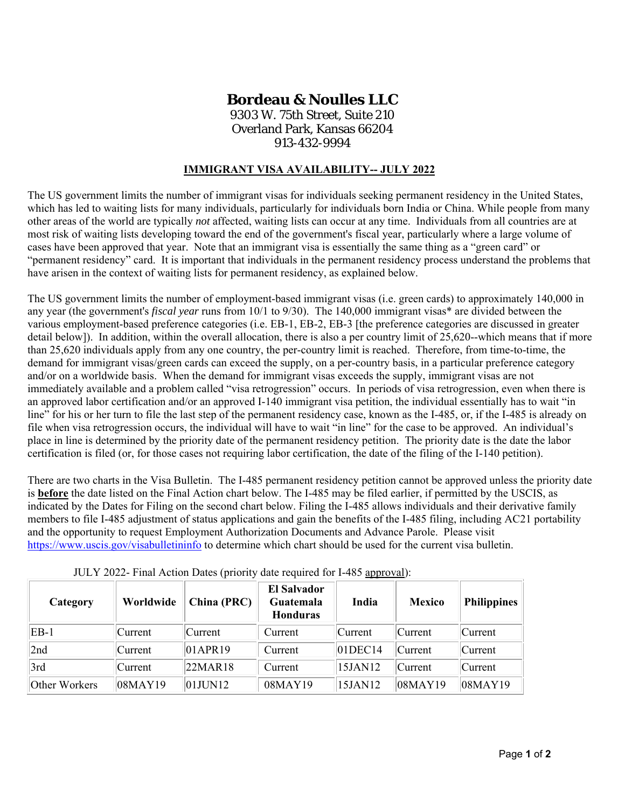## **Bordeau & Noulles LLC**

9303 W. 75th Street, Suite 210 Overland Park, Kansas 66204 913-432-9994

## **IMMIGRANT VISA AVAILABILITY-- JULY 2022**

The US government limits the number of immigrant visas for individuals seeking permanent residency in the United States, which has led to waiting lists for many individuals, particularly for individuals born India or China. While people from many other areas of the world are typically *not* affected, waiting lists can occur at any time. Individuals from all countries are at most risk of waiting lists developing toward the end of the government's fiscal year, particularly where a large volume of cases have been approved that year. Note that an immigrant visa is essentially the same thing as a "green card" or "permanent residency" card. It is important that individuals in the permanent residency process understand the problems that have arisen in the context of waiting lists for permanent residency, as explained below.

The US government limits the number of employment-based immigrant visas (i.e. green cards) to approximately 140,000 in any year (the government's *fiscal year* runs from 10/1 to 9/30). The 140,000 immigrant visas\* are divided between the various employment-based preference categories (i.e. EB-1, EB-2, EB-3 [the preference categories are discussed in greater detail below]). In addition, within the overall allocation, there is also a per country limit of 25,620--which means that if more than 25,620 individuals apply from any one country, the per-country limit is reached. Therefore, from time-to-time, the demand for immigrant visas/green cards can exceed the supply, on a per-country basis, in a particular preference category and/or on a worldwide basis. When the demand for immigrant visas exceeds the supply, immigrant visas are not immediately available and a problem called "visa retrogression" occurs. In periods of visa retrogression, even when there is an approved labor certification and/or an approved I-140 immigrant visa petition, the individual essentially has to wait "in line" for his or her turn to file the last step of the permanent residency case, known as the I-485, or, if the I-485 is already on file when visa retrogression occurs, the individual will have to wait "in line" for the case to be approved. An individual's place in line is determined by the priority date of the permanent residency petition. The priority date is the date the labor certification is filed (or, for those cases not requiring labor certification, the date of the filing of the I-140 petition).

There are two charts in the Visa Bulletin. The I-485 permanent residency petition cannot be approved unless the priority date is **before** the date listed on the Final Action chart below. The I-485 may be filed earlier, if permitted by the USCIS, as indicated by the Dates for Filing on the second chart below. Filing the I-485 allows individuals and their derivative family members to file I-485 adjustment of status applications and gain the benefits of the I-485 filing, including AC21 portability and the opportunity to request Employment Authorization Documents and Advance Parole. Please visit https://www.uscis.gov/visabulletininfo to determine which chart should be used for the current visa bulletin.

JULY 2022- Final Action Dates (priority date required for I-485 approval):

| Category      | Worldwide     | China (PRC)        | <b>El Salvador</b><br>Guatemala<br><b>Honduras</b> | India      | <b>Mexico</b> | <b>Philippines</b> |
|---------------|---------------|--------------------|----------------------------------------------------|------------|---------------|--------------------|
| $EB-1$        | Current       | Current            | Current                                            | Current    | Current       | Current            |
| 2nd           | Current       | 01APR19            | Current                                            | $01$ DEC14 | Current       | Current            |
| 3rd           | Current       | 22 <sub>MR18</sub> | Current                                            | 15JAN12    | Current       | Current            |
| Other Workers | $08$ MAY $19$ | $01$ JUN $12$      | 08MAY19                                            | 15JAN12    | 08MAY19       | 08MAY19            |